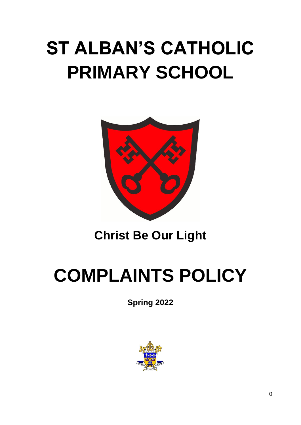# **ST ALBAN'S CATHOLIC PRIMARY SCHOOL**



### **Christ Be Our Light**

# **COMPLAINTS POLICY**

**Spring 2022**

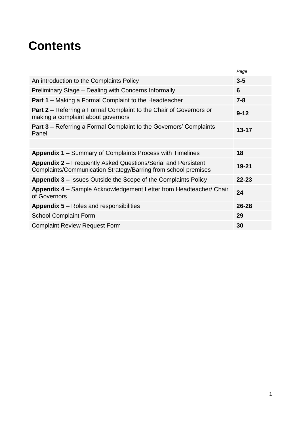### **Contents**

| Page      |
|-----------|
| $3-5$     |
| 6         |
| $7 - 8$   |
| $9 - 12$  |
| $13 - 17$ |
|           |
| 18        |
| 19-21     |
| $22 - 23$ |
| 24        |
| $26 - 28$ |
| 29        |
| 30        |
|           |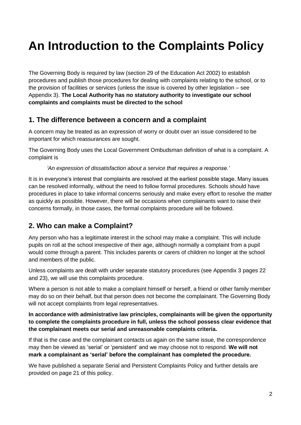### **An Introduction to the Complaints Policy**

The Governing Body is required by law (section 29 of the Education Act 2002) to establish procedures and publish those procedures for dealing with complaints relating to the school, or to the provision of facilities or services (unless the issue is covered by other legislation – see Appendix 3). **The Local Authority has no statutory authority to investigate our school complaints and complaints must be directed to the school**

#### **1. The difference between a concern and a complaint**

A concern may be treated as an expression of worry or doubt over an issue considered to be important for which reassurances are sought.

The Governing Body uses the Local Government Ombudsman definition of what is a complaint. A complaint is

*'An expression of dissatisfaction about a service that requires a response.'*

It is in everyone's interest that complaints are resolved at the earliest possible stage. Many issues can be resolved informally, without the need to follow formal procedures. Schools should have procedures in place to take informal concerns seriously and make every effort to resolve the matter as quickly as possible. However, there will be occasions when complainants want to raise their concerns formally, in those cases, the formal complaints procedure will be followed.

#### **2. Who can make a Complaint?**

Any person who has a legitimate interest in the school may make a complaint. This will include pupils on roll at the school irrespective of their age, although normally a complaint from a pupil would come through a parent. This includes parents or carers of children no longer at the school and members of the public.

Unless complaints are dealt with under separate statutory procedures (see Appendix 3 pages 22 and 23), we will use this complaints procedure.

Where a person is not able to make a complaint himself or herself, a friend or other family member may do so on their behalf, but that person does not become the complainant. The Governing Body will not accept complaints from legal representatives.

#### **In accordance with administrative law principles, complainants will be given the opportunity to complete the complaints procedure in full, unless the school possess clear evidence that the complainant meets our serial and unreasonable complaints criteria.**

If that is the case and the complainant contacts us again on the same issue, the correspondence may then be viewed as 'serial' or 'persistent' and we may choose not to respond. **We will not mark a complainant as 'serial' before the complainant has completed the procedure.**

We have published a separate Serial and Persistent Complaints Policy and further details are provided on page 21 of this policy.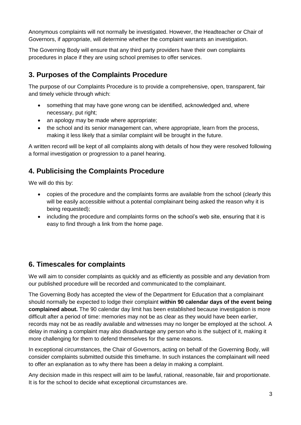Anonymous complaints will not normally be investigated. However, the Headteacher or Chair of Governors, if appropriate, will determine whether the complaint warrants an investigation.

The Governing Body will ensure that any third party providers have their own complaints procedures in place if they are using school premises to offer services.

#### **3. Purposes of the Complaints Procedure**

The purpose of our Complaints Procedure is to provide a comprehensive, open, transparent, fair and timely vehicle through which:

- something that may have gone wrong can be identified, acknowledged and, where necessary, put right;
- an apology may be made where appropriate;
- the school and its senior management can, where appropriate, learn from the process, making it less likely that a similar complaint will be brought in the future.

A written record will be kept of all complaints along with details of how they were resolved following a formal investigation or progression to a panel hearing.

#### **4. Publicising the Complaints Procedure**

We will do this by:

- copies of the procedure and the complaints forms are available from the school (clearly this will be easily accessible without a potential complainant being asked the reason why it is being requested);
- including the procedure and complaints forms on the school's web site, ensuring that it is easy to find through a link from the home page.

#### **6. Timescales for complaints**

We will aim to consider complaints as quickly and as efficiently as possible and any deviation from our published procedure will be recorded and communicated to the complainant.

The Governing Body has accepted the view of the Department for Education that a complainant should normally be expected to lodge their complaint **within 90 calendar days of the event being complained about.** The 90 calendar day limit has been established because investigation is more difficult after a period of time: memories may not be as clear as they would have been earlier, records may not be as readily available and witnesses may no longer be employed at the school. A delay in making a complaint may also disadvantage any person who is the subject of it, making it more challenging for them to defend themselves for the same reasons.

In exceptional circumstances, the Chair of Governors, acting on behalf of the Governing Body, will consider complaints submitted outside this timeframe. In such instances the complainant will need to offer an explanation as to why there has been a delay in making a complaint.

Any decision made in this respect will aim to be lawful, rational, reasonable, fair and proportionate. It is for the school to decide what exceptional circumstances are.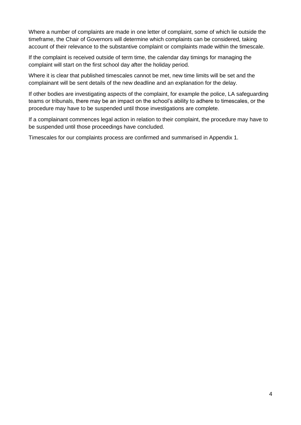Where a number of complaints are made in one letter of complaint, some of which lie outside the timeframe, the Chair of Governors will determine which complaints can be considered, taking account of their relevance to the substantive complaint or complaints made within the timescale.

If the complaint is received outside of term time, the calendar day timings for managing the complaint will start on the first school day after the holiday period.

Where it is clear that published timescales cannot be met, new time limits will be set and the complainant will be sent details of the new deadline and an explanation for the delay.

If other bodies are investigating aspects of the complaint, for example the police, LA safeguarding teams or tribunals, there may be an impact on the school's ability to adhere to timescales, or the procedure may have to be suspended until those investigations are complete.

If a complainant commences legal action in relation to their complaint, the procedure may have to be suspended until those proceedings have concluded.

Timescales for our complaints process are confirmed and summarised in Appendix 1.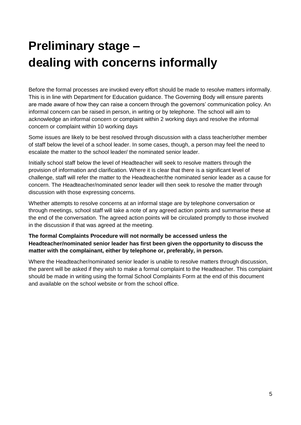### **Preliminary stage – dealing with concerns informally**

Before the formal processes are invoked every effort should be made to resolve matters informally. This is in line with Department for Education guidance. The Governing Body will ensure parents are made aware of how they can raise a concern through the governors' communication policy. An informal concern can be raised in person, in writing or by telephone. The school will aim to acknowledge an informal concern or complaint within 2 working days and resolve the informal concern or complaint within 10 working days

Some issues are likely to be best resolved through discussion with a class teacher/other member of staff below the level of a school leader. In some cases, though, a person may feel the need to escalate the matter to the school leader/ the nominated senior leader.

Initially school staff below the level of Headteacher will seek to resolve matters through the provision of information and clarification. Where it is clear that there is a significant level of challenge, staff will refer the matter to the Headteacher/the nominated senior leader as a cause for concern. The Headteacher/nominated senor leader will then seek to resolve the matter through discussion with those expressing concerns.

Whether attempts to resolve concerns at an informal stage are by telephone conversation or through meetings, school staff will take a note of any agreed action points and summarise these at the end of the conversation. The agreed action points will be circulated promptly to those involved in the discussion if that was agreed at the meeting.

#### **The formal Complaints Procedure will not normally be accessed unless the Headteacher/nominated senior leader has first been given the opportunity to discuss the matter with the complainant, either by telephone or, preferably, in person.**

Where the Headteacher/nominated senior leader is unable to resolve matters through discussion, the parent will be asked if they wish to make a formal complaint to the Headteacher. This complaint should be made in writing using the formal School Complaints Form at the end of this document and available on the school website or from the school office.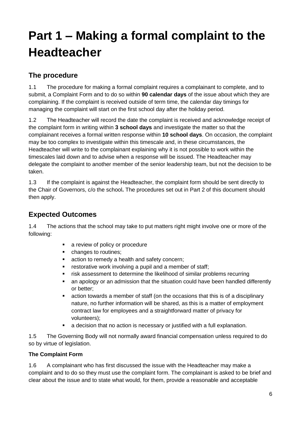## **Part 1 – Making a formal complaint to the Headteacher**

#### **The procedure**

1.1 The procedure for making a formal complaint requires a complainant to complete, and to submit, a Complaint Form and to do so within **90 calendar days** of the issue about which they are complaining. If the complaint is received outside of term time, the calendar day timings for managing the complaint will start on the first school day after the holiday period.

1.2 The Headteacher will record the date the complaint is received and acknowledge receipt of the complaint form in writing within **3 school days** and investigate the matter so that the complainant receives a formal written response within **10 school days**. On occasion, the complaint may be too complex to investigate within this timescale and, in these circumstances, the Headteacher will write to the complainant explaining why it is not possible to work within the timescales laid down and to advise when a response will be issued. The Headteacher may delegate the complaint to another member of the senior leadership team, but not the decision to be taken.

1.3 If the complaint is against the Headteacher, the complaint form should be sent directly to the Chair of Governors, c/o the school**.** The procedures set out in Part 2 of this document should then apply.

#### **Expected Outcomes**

1.4 The actions that the school may take to put matters right might involve one or more of the following:

- **a** review of policy or procedure
- changes to routines;
- **action to remedy a health and safety concern;**
- **Fig. 3** restorative work involving a pupil and a member of staff;
- **F** risk assessment to determine the likelihood of similar problems recurring
- an apology or an admission that the situation could have been handled differently or better;
- action towards a member of staff (on the occasions that this is of a disciplinary nature, no further information will be shared, as this is a matter of employment contract law for employees and a straightforward matter of privacy for volunteers);
- a decision that no action is necessary or justified with a full explanation.

1.5 The Governing Body will not normally award financial compensation unless required to do so by virtue of legislation.

#### **The Complaint Form**

1.6 A complainant who has first discussed the issue with the Headteacher may make a complaint and to do so they must use the complaint form. The complainant is asked to be brief and clear about the issue and to state what would, for them, provide a reasonable and acceptable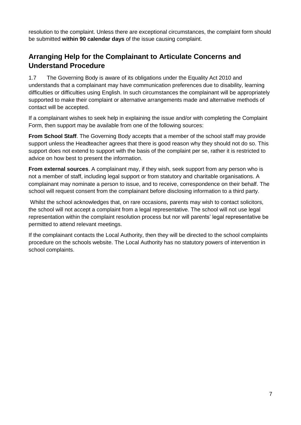resolution to the complaint. Unless there are exceptional circumstances, the complaint form should be submitted **within 90 calendar days** of the issue causing complaint.

#### **Arranging Help for the Complainant to Articulate Concerns and Understand Procedure**

1.7 The Governing Body is aware of its obligations under the Equality Act 2010 and understands that a complainant may have communication preferences due to disability, learning difficulties or difficulties using English. In such circumstances the complainant will be appropriately supported to make their complaint or alternative arrangements made and alternative methods of contact will be accepted.

If a complainant wishes to seek help in explaining the issue and/or with completing the Complaint Form, then support may be available from one of the following sources:

**From School Staff**. The Governing Body accepts that a member of the school staff may provide support unless the Headteacher agrees that there is good reason why they should not do so. This support does not extend to support with the basis of the complaint per se, rather it is restricted to advice on how best to present the information.

**From external sources**. A complainant may, if they wish, seek support from any person who is not a member of staff, including legal support or from statutory and charitable organisations. A complainant may nominate a person to issue, and to receive, correspondence on their behalf. The school will request consent from the complainant before disclosing information to a third party.

Whilst the school acknowledges that, on rare occasions, parents may wish to contact solicitors, the school will not accept a complaint from a legal representative. The school will not use legal representation within the complaint resolution process but nor will parents' legal representative be permitted to attend relevant meetings.

If the complainant contacts the Local Authority, then they will be directed to the school complaints procedure on the schools website. The Local Authority has no statutory powers of intervention in school complaints.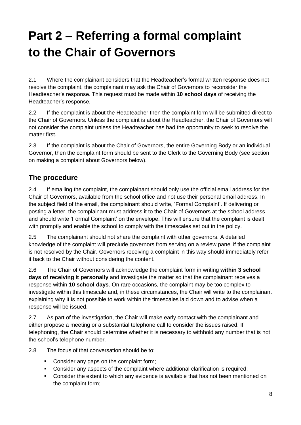## **Part 2 – Referring a formal complaint to the Chair of Governors**

2.1 Where the complainant considers that the Headteacher's formal written response does not resolve the complaint, the complainant may ask the Chair of Governors to reconsider the Headteacher's response. This request must be made within **10 school days** of receiving the Headteacher's response.

2.2 If the complaint is about the Headteacher then the complaint form will be submitted direct to the Chair of Governors. Unless the complaint is about the Headteacher, the Chair of Governors will not consider the complaint unless the Headteacher has had the opportunity to seek to resolve the matter first.

2.3 If the complaint is about the Chair of Governors, the entire Governing Body or an individual Governor, then the complaint form should be sent to the Clerk to the Governing Body (see section on making a complaint about Governors below).

#### **The procedure**

2.4 If emailing the complaint, the complainant should only use the official email address for the Chair of Governors, available from the school office and not use their personal email address. In the subject field of the email, the complainant should write, 'Formal Complaint'. If delivering or posting a letter, the complainant must address it to the Chair of Governors at the school address and should write 'Formal Complaint' on the envelope. This will ensure that the complaint is dealt with promptly and enable the school to comply with the timescales set out in the policy.

2.5 The complainant should not share the complaint with other governors. A detailed knowledge of the complaint will preclude governors from serving on a review panel if the complaint is not resolved by the Chair. Governors receiving a complaint in this way should immediately refer it back to the Chair without considering the content.

2.6 The Chair of Governors will acknowledge the complaint form in writing **within 3 school days of receiving it personally** and investigate the matter so that the complainant receives a response within **10 school days**. On rare occasions, the complaint may be too complex to investigate within this timescale and, in these circumstances, the Chair will write to the complainant explaining why it is not possible to work within the timescales laid down and to advise when a response will be issued.

2.7 As part of the investigation, the Chair will make early contact with the complainant and either propose a meeting or a substantial telephone call to consider the issues raised. If telephoning, the Chair should determine whether it is necessary to withhold any number that is not the school's telephone number.

2.8 The focus of that conversation should be to:

- Consider any gaps on the complaint form;
- Consider any aspects of the complaint where additional clarification is required;
- Consider the extent to which any evidence is available that has not been mentioned on the complaint form;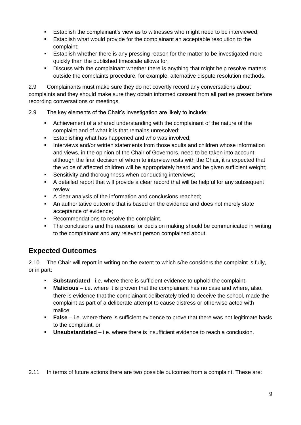- Establish the complainant's view as to witnesses who might need to be interviewed;
- Establish what would provide for the complainant an acceptable resolution to the complaint;
- Establish whether there is any pressing reason for the matter to be investigated more quickly than the published timescale allows for;
- Discuss with the complainant whether there is anything that might help resolve matters outside the complaints procedure, for example, alternative dispute resolution methods.

2.9 Complainants must make sure they do not covertly record any conversations about complaints and they should make sure they obtain informed consent from all parties present before recording conversations or meetings.

- 2.9 The key elements of the Chair's investigation are likely to include:
	- Achievement of a shared understanding with the complainant of the nature of the complaint and of what it is that remains unresolved;
	- **Establishing what has happened and who was involved:**
	- **Interviews and/or written statements from those adults and children whose information** and views, in the opinion of the Chair of Governors, need to be taken into account; although the final decision of whom to interview rests with the Chair, it is expected that the voice of affected children will be appropriately heard and be given sufficient weight;
	- **Sensitivity and thoroughness when conducting interviews:**
	- A detailed report that will provide a clear record that will be helpful for any subsequent review;
	- A clear analysis of the information and conclusions reached:
	- An authoritative outcome that is based on the evidence and does not merely state acceptance of evidence;
	- Recommendations to resolve the complaint.
	- The conclusions and the reasons for decision making should be communicated in writing to the complainant and any relevant person complained about.

#### **Expected Outcomes**

2.10 The Chair will report in writing on the extent to which s/he considers the complaint is fully, or in part:

- **Substantiated** i.e. where there is sufficient evidence to uphold the complaint;
- **Malicious** i.e. where it is proven that the complainant has no case and where, also, there is evidence that the complainant deliberately tried to deceive the school, made the complaint as part of a deliberate attempt to cause distress or otherwise acted with malice;
- **False** i.e. where there is sufficient evidence to prove that there was not legitimate basis to the complaint, or
- **Unsubstantiated** i.e. where there is insufficient evidence to reach a conclusion.

2.11 In terms of future actions there are two possible outcomes from a complaint. These are: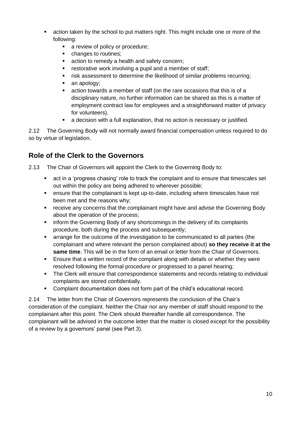- action taken by the school to put matters right. This might include one or more of the following:
	- a review of policy or procedure;
	- changes to routines;
	- **action to remedy a health and safety concern;**
	- **Fig. 3** restorative work involving a pupil and a member of staff;
	- **Fight** risk assessment to determine the likelihood of similar problems recurring;
	- an apology;
	- action towards a member of staff (on the rare occasions that this is of a disciplinary nature, no further information can be shared as this is a matter of employment contract law for employees and a straightforward matter of privacy for volunteers).
	- a decision with a full explanation, that no action is necessary or justified.

2.12 The Governing Body will not normally award financial compensation unless required to do so by virtue of legislation.

#### **Role of the Clerk to the Governors**

2.13 The Chair of Governors will appoint the Clerk to the Governing Body to:

- act in a 'progress chasing' role to track the complaint and to ensure that timescales set out within the policy are being adhered to wherever possible;
- ensure that the complainant is kept up-to-date, including where timescales have not been met and the reasons why;
- receive any concerns that the complainant might have and advise the Governing Body about the operation of the process;
- inform the Governing Body of any shortcomings in the delivery of its complaints procedure, both during the process and subsequently;
- arrange for the outcome of the investigation to be communicated to all parties (the complainant and where relevant the person complained about) **so they receive it at the same time**. This will be in the form of an email or letter from the Chair of Governors.
- Ensure that a written record of the complaint along with details or whether they were resolved following the formal procedure or progressed to a panel hearing;
- The Clerk will ensure that correspondence statements and records relating to individual complaints are stored confidentially.
- Complaint documentation does not form part of the child's educational record.

2.14 The letter from the Chair of Governors represents the conclusion of the Chair's consideration of the complaint. Neither the Chair nor any member of staff should respond to the complainant after this point. The Clerk should thereafter handle all correspondence. The complainant will be advised in the outcome letter that the matter is closed except for the possibility of a review by a governors' panel (see Part 3).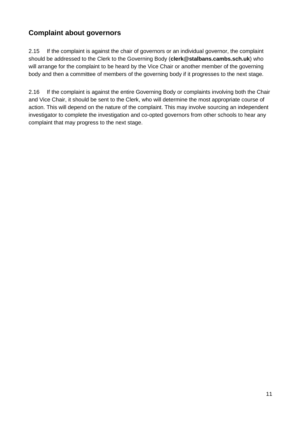#### **Complaint about governors**

2.15 If the complaint is against the chair of governors or an individual governor, the complaint should be addressed to the Clerk to the Governing Body (**clerk@stalbans.cambs.sch.uk**) who will arrange for the complaint to be heard by the Vice Chair or another member of the governing body and then a committee of members of the governing body if it progresses to the next stage.

2.16 If the complaint is against the entire Governing Body or complaints involving both the Chair and Vice Chair, it should be sent to the Clerk, who will determine the most appropriate course of action. This will depend on the nature of the complaint. This may involve sourcing an independent investigator to complete the investigation and co-opted governors from other schools to hear any complaint that may progress to the next stage.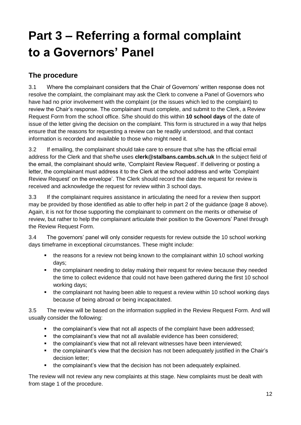## **Part 3 – Referring a formal complaint to a Governors' Panel**

#### **The procedure**

3.1 Where the complainant considers that the Chair of Governors' written response does not resolve the complaint, the complainant may ask the Clerk to convene a Panel of Governors who have had no prior involvement with the complaint (or the issues which led to the complaint) to review the Chair's response. The complainant must complete, and submit to the Clerk, a Review Request Form from the school office. S/he should do this within **10 school days** of the date of issue of the letter giving the decision on the complaint. This form is structured in a way that helps ensure that the reasons for requesting a review can be readily understood, and that contact information is recorded and available to those who might need it.

3.2 If emailing, the complainant should take care to ensure that s/he has the official email address for the Clerk and that she/he uses **clerk@stalbans.cambs.sch.uk** In the subject field of the email, the complainant should write, 'Complaint Review Request'. If delivering or posting a letter, the complainant must address it to the Clerk at the school address and write 'Complaint Review Request' on the envelope'. The Clerk should record the date the request for review is received and acknowledge the request for review within 3 school days.

3.3 If the complainant requires assistance in articulating the need for a review then support may be provided by those identified as able to offer help in part 2 of the guidance (page 8 above). Again, it is not for those supporting the complainant to comment on the merits or otherwise of review, but rather to help the complainant articulate their position to the Governors' Panel through the Review Request Form.

3.4 The governors' panel will only consider requests for review outside the 10 school working days timeframe in exceptional circumstances. These might include:

- the reasons for a review not being known to the complainant within 10 school working days;
- the complainant needing to delay making their request for review because they needed the time to collect evidence that could not have been gathered during the first 10 school working days;
- the complainant not having been able to request a review within 10 school working days because of being abroad or being incapacitated.

3.5 The review will be based on the information supplied in the Review Request Form. And will usually consider the following:

- the complainant's view that not all aspects of the complaint have been addressed;
- the complainant's view that not all available evidence has been considered;
- the complainant's view that not all relevant witnesses have been interviewed;
- the complainant's view that the decision has not been adequately justified in the Chair's decision letter;
- the complainant's view that the decision has not been adequately explained.

The review will not review any new complaints at this stage. New complaints must be dealt with from stage 1 of the procedure.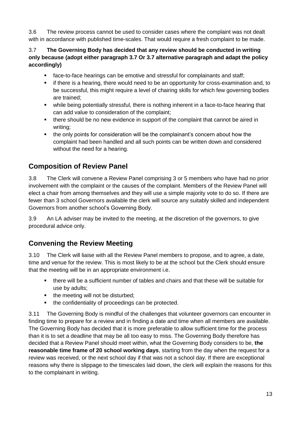3.6 The review process cannot be used to consider cases where the complaint was not dealt with in accordance with published time-scales. That would require a fresh complaint to be made.

3.7 **The Governing Body has decided that any review should be conducted in writing only because (adopt either paragraph 3.7 Or 3.7 alternative paragraph and adapt the policy accordingly)**

- face-to-face hearings can be emotive and stressful for complainants and staff;
- if there is a hearing, there would need to be an opportunity for cross-examination and, to be successful, this might require a level of chairing skills for which few governing bodies are trained;
- while being potentially stressful, there is nothing inherent in a face-to-face hearing that can add value to consideration of the complaint;
- there should be no new evidence in support of the complaint that cannot be aired in writing;
- the only points for consideration will be the complainant's concern about how the complaint had been handled and all such points can be written down and considered without the need for a hearing.

#### **Composition of Review Panel**

3.8 The Clerk will convene a Review Panel comprising 3 or 5 members who have had no prior involvement with the complaint or the causes of the complaint. Members of the Review Panel will elect a chair from among themselves and they will use a simple majority vote to do so. If there are fewer than 3 school Governors available the clerk will source any suitably skilled and independent Governors from another school's Governing Body.

3.9 An LA adviser may be invited to the meeting, at the discretion of the governors, to give procedural advice only.

#### **Convening the Review Meeting**

3.10 The Clerk will liaise with all the Review Panel members to propose, and to agree, a date, time and venue for the review. This is most likely to be at the school but the Clerk should ensure that the meeting will be in an appropriate environment i.e.

- there will be a sufficient number of tables and chairs and that these will be suitable for use by adults;
- the meeting will not be disturbed;
- the confidentiality of proceedings can be protected.

3.11 The Governing Body is mindful of the challenges that volunteer governors can encounter in finding time to prepare for a review and in finding a date and time when all members are available. The Governing Body has decided that it is more preferable to allow sufficient time for the process than it is to set a deadline that may be all too easy to miss. The Governing Body therefore has decided that a Review Panel should meet within, what the Governing Body considers to be, **the reasonable time frame of 20 school working days**, starting from the day when the request for a review was received, or the next school day if that was not a school day. If there are exceptional reasons why there is slippage to the timescales laid down, the clerk will explain the reasons for this to the complainant in writing.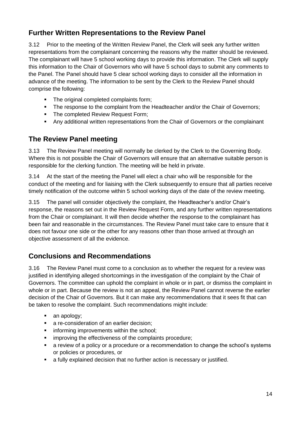#### **Further Written Representations to the Review Panel**

3.12 Prior to the meeting of the Written Review Panel, the Clerk will seek any further written representations from the complainant concerning the reasons why the matter should be reviewed. The complainant will have 5 school working days to provide this information. The Clerk will supply this information to the Chair of Governors who will have 5 school days to submit any comments to the Panel. The Panel should have 5 clear school working days to consider all the information in advance of the meeting. The information to be sent by the Clerk to the Review Panel should comprise the following:

- The original completed complaints form:
- The response to the complaint from the Headteacher and/or the Chair of Governors;
- The completed Review Request Form;
- Any additional written representations from the Chair of Governors or the complainant

#### **The Review Panel meeting**

3.13 The Review Panel meeting will normally be clerked by the Clerk to the Governing Body. Where this is not possible the Chair of Governors will ensure that an alternative suitable person is responsible for the clerking function. The meeting will be held in private.

3.14 At the start of the meeting the Panel will elect a chair who will be responsible for the conduct of the meeting and for liaising with the Clerk subsequently to ensure that all parties receive timely notification of the outcome within 5 school working days of the date of the review meeting.

3.15 The panel will consider objectively the complaint, the Headteacher's and/or Chair's response, the reasons set out in the Review Request Form, and any further written representations from the Chair or complainant. It will then decide whether the response to the complainant has been fair and reasonable in the circumstances. The Review Panel must take care to ensure that it does not favour one side or the other for any reasons other than those arrived at through an objective assessment of all the evidence.

#### **Conclusions and Recommendations**

3.16 The Review Panel must come to a conclusion as to whether the request for a review was justified in identifying alleged shortcomings in the investigation of the complaint by the Chair of Governors. The committee can uphold the complaint in whole or in part, or dismiss the complaint in whole or in part. Because the review is not an appeal, the Review Panel cannot reverse the earlier decision of the Chair of Governors. But it can make any recommendations that it sees fit that can be taken to resolve the complaint. Such recommendations might include:

- an apology;
- a re-consideration of an earlier decision;
- **EXECT** informing improvements within the school;
- **EXECT** improving the effectiveness of the complaints procedure;
- a review of a policy or a procedure or a recommendation to change the school's systems or policies or procedures, or
- a fully explained decision that no further action is necessary or justified.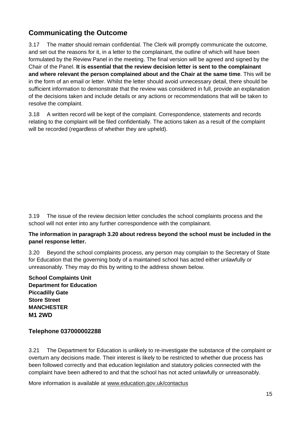#### **Communicating the Outcome**

3.17 The matter should remain confidential. The Clerk will promptly communicate the outcome, and set out the reasons for it, in a letter to the complainant, the outline of which will have been formulated by the Review Panel in the meeting. The final version will be agreed and signed by the Chair of the Panel. **It is essential that the review decision letter is sent to the complainant and where relevant the person complained about and the Chair at the same time**. This will be in the form of an email or letter. Whilst the letter should avoid unnecessary detail, there should be sufficient information to demonstrate that the review was considered in full, provide an explanation of the decisions taken and include details or any actions or recommendations that will be taken to resolve the complaint.

3.18 A written record will be kept of the complaint. Correspondence, statements and records relating to the complaint will be filed confidentially. The actions taken as a result of the complaint will be recorded (regardless of whether they are upheld).

3.19 The issue of the review decision letter concludes the school complaints process and the school will not enter into any further correspondence with the complainant.

#### **The information in paragraph 3.20 about redress beyond the school must be included in the panel response letter.**

3.20 Beyond the school complaints process, any person may complain to the Secretary of State for Education that the governing body of a maintained school has acted either unlawfully or unreasonably. They may do this by writing to the address shown below.

**School Complaints Unit Department for Education Piccadilly Gate Store Street MANCHESTER M1 2WD**

#### **Telephone 037000002288**

3.21 The Department for Education is unlikely to re-investigate the substance of the complaint or overturn any decisions made. Their interest is likely to be restricted to whether due process has been followed correctly and that education legislation and statutory policies connected with the complaint have been adhered to and that the school has not acted unlawfully or unreasonably.

More information is available at [www.education.gov.uk/contactus](http://www.education.gov.uk/contactus)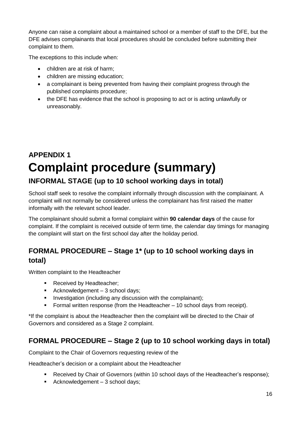Anyone can raise a complaint about a maintained school or a member of staff to the DFE, but the DFE advises complainants that local procedures should be concluded before submitting their complaint to them.

The exceptions to this include when:

- children are at risk of harm:
- children are missing education:
- a complainant is being prevented from having their complaint progress through the published complaints procedure;
- the DFE has evidence that the school is proposing to act or is acting unlawfully or unreasonably.

### **APPENDIX 1 Complaint procedure (summary) INFORMAL STAGE (up to 10 school working days in total)**

School staff seek to resolve the complaint informally through discussion with the complainant. A complaint will not normally be considered unless the complainant has first raised the matter informally with the relevant school leader.

The complainant should submit a formal complaint within **90 calendar days** of the cause for complaint. If the complaint is received outside of term time, the calendar day timings for managing the complaint will start on the first school day after the holiday period.

#### **FORMAL PROCEDURE – Stage 1\* (up to 10 school working days in total)**

Written complaint to the Headteacher

- Received by Headteacher:
- Acknowledgement  $-3$  school days;
- **Investigation (including any discussion with the complainant);**
- Formal written response (from the Headteacher 10 school days from receipt).

\*If the complaint is about the Headteacher then the complaint will be directed to the Chair of Governors and considered as a Stage 2 complaint.

#### **FORMAL PROCEDURE – Stage 2 (up to 10 school working days in total)**

Complaint to the Chair of Governors requesting review of the

Headteacher's decision or a complaint about the Headteacher

- Received by Chair of Governors (within 10 school days of the Headteacher's response);
- Acknowledgement  $-3$  school days;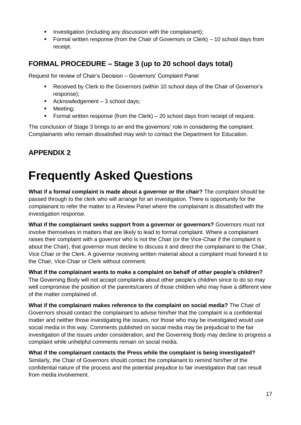- **Investigation (including any discussion with the complainant);**
- Formal written response (from the Chair of Governors or Clerk) 10 school days from receipt.

#### **FORMAL PROCEDURE – Stage 3 (up to 20 school days total)**

Request for review of Chair's Decision – Governors' Complaint Panel

- Received by Clerk to the Governors (within 10 school days of the Chair of Governor's response);
- Acknowledgement  $-3$  school days;
- **Neeting:**
- Formal written response (from the Clerk) 20 school days from receipt of request.

The conclusion of Stage 3 brings to an end the governors' role in considering the complaint. Complainants who remain dissatisfied may wish to contact the Department for Education.

#### **APPENDIX 2**

### **Frequently Asked Questions**

**What if a formal complaint is made about a governor or the chair?** The complaint should be passed through to the clerk who will arrange for an investigation. There is opportunity for the complainant to refer the matter to a Review Panel where the complainant is dissatisfied with the investigation response.

**What if the complainant seeks support from a governor or governors?** Governors must not involve themselves in matters that are likely to lead to formal complaint. Where a complainant raises their complaint with a governor who is not the Chair (or the Vice-Chair if the complaint is about the Chair), that governor must decline to discuss it and direct the complainant to the Chair, Vice Chair or the Clerk. A governor receiving written material about a complaint must forward it to the Chair, Vice-Chair or Clerk without comment.

**What if the complainant wants to make a complaint on behalf of other people's children?** The Governing Body will not accept complaints about other people's children since to do so may well compromise the position of the parents/carers of those children who may have a different view of the matter complained of.

**What if the complainant makes reference to the complaint on social media?** The Chair of Governors should contact the complainant to advise him/her that the complaint is a confidential matter and neither those investigating the issues, nor those who may be investigated would use social media in this way. Comments published on social media may be prejudicial to the fair investigation of the issues under consideration, and the Governing Body may decline to progress a complaint while unhelpful comments remain on social media.

**What if the complainant contacts the Press while the complaint is being investigated?** Similarly, the Chair of Governors should contact the complainant to remind him/her of the confidential nature of the process and the potential prejudice to fair investigation that can result from media involvement.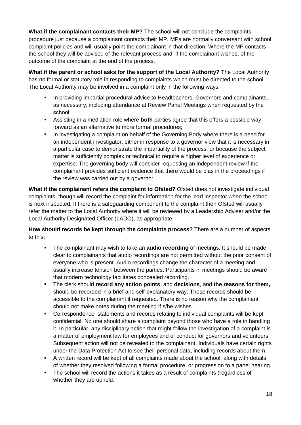**What if the complainant contacts their MP?** The school will not conclude the complaints procedure just because a complainant contacts their MP. MPs are normally conversant with school complaint policies and will usually point the complainant in that direction. Where the MP contacts the school they will be advised of the relevant process and, if the complainant wishes, of the outcome of the complaint at the end of the process.

**What if the parent or school asks for the support of the Local Authority?** The Local Authority has no formal or statutory role in responding to complaints which must be directed to the school. The Local Authority may be involved in a complaint only in the following ways:

- **In providing impartial procedural advice to Headteachers, Governors and complainants,** as necessary, including attendance at Review Panel Meetings when requested by the school;
- Assisting in a mediation role where **both** parties agree that this offers a possible way forward as an alternative to more formal procedures;
- In investigating a complaint on behalf of the Governing Body where there is a need for an independent investigator, either in response to a governor view that it is necessary in a particular case to demonstrate the impartiality of the process, or because the subject matter is sufficiently complex or technical to require a higher level of experience or expertise. The governing body will consider requesting an independent review if the complainant provides sufficient evidence that there would be bias in the proceedings if the review was carried out by a governor.

**What if the complainant refers the complaint to Ofsted?** Ofsted does not investigate individual complaints, though will record the complaint for information for the lead inspector when the school is next inspected. If there is a safeguarding component to the complaint then Ofsted will usually refer the matter to the Local Authority where it will be reviewed by a Leadership Adviser and/or the Local Authority Designated Officer (LADO), as appropriate.

**How should records be kept through the complaints process?** There are a number of aspects to this:

- The complainant may wish to take an **audio recording** of meetings. It should be made clear to complainants that audio recordings are not permitted without the prior consent of everyone who is present. Audio recordings change the character of a meeting and usually increase tension between the parties. Participants in meetings should be aware that modern technology facilitates concealed recording.
- The clerk should **record any action points**, and **decisions**, and **the reasons for them,** should be recorded in a brief and self-explanatory way. These records should be accessible to the complainant if requested. There is no reason why the complainant should not make notes during the meeting if s/he wishes.
- Correspondence, statements and records relating to individual complaints will be kept confidential. No one should share a complaint beyond those who have a role in handling it. In particular, any disciplinary action that might follow the investigation of a complaint is a matter of employment law for employees and of conduct for governors and volunteers. Subsequent action will not be revealed to the complainant. Individuals have certain rights under the Data Protection Act to see their personal data, including records about them.
- A written record will be kept of all complaints made about the school, along with details of whether they resolved following a formal procedure, or progression to a panel hearing.
- The school will record the actions it takes as a result of complaints (regardless of whether they are upheld.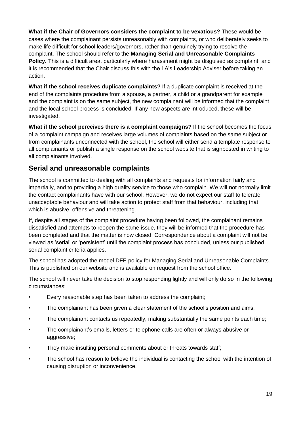**What if the Chair of Governors considers the complaint to be vexatious?** These would be cases where the complainant persists unreasonably with complaints, or who deliberately seeks to make life difficult for school leaders/governors, rather than genuinely trying to resolve the complaint. The school should refer to the **Managing Serial and Unreasonable Complaints Policy**. This is a difficult area, particularly where harassment might be disguised as complaint, and it is recommended that the Chair discuss this with the LA's Leadership Adviser before taking an action.

**What if the school receives duplicate complaints?** If a duplicate complaint is received at the end of the complaints procedure from a spouse, a partner, a child or a grandparent for example and the complaint is on the same subject, the new complainant will be informed that the complaint and the local school process is concluded. If any new aspects are introduced, these will be investigated.

**What if the school perceives there is a complaint campaigns?** If the school becomes the focus of a complaint campaign and receives large volumes of complaints based on the same subject or from complainants unconnected with the school, the school will either send a template response to all complainants or publish a single response on the school website that is signposted in writing to all complainants involved.

#### **Serial and unreasonable complaints**

The school is committed to dealing with all complaints and requests for information fairly and impartially, and to providing a high quality service to those who complain. We will not normally limit the contact complainants have with our school. However, we do not expect our staff to tolerate unacceptable behaviour and will take action to protect staff from that behaviour, including that which is abusive, offensive and threatening.

If, despite all stages of the complaint procedure having been followed, the complainant remains dissatisfied and attempts to reopen the same issue, they will be informed that the procedure has been completed and that the matter is now closed. Correspondence about a complaint will not be viewed as 'serial' or 'persistent' until the complaint process has concluded, unless our published serial complaint criteria applies.

The school has adopted the model DFE policy for Managing Serial and Unreasonable Complaints. This is published on our website and is available on request from the school office.

The school will never take the decision to stop responding lightly and will only do so in the following circumstances:

- Every reasonable step has been taken to address the complaint;
- The complainant has been given a clear statement of the school's position and aims;
- The complainant contacts us repeatedly, making substantially the same points each time;
- The complainant's emails, letters or telephone calls are often or always abusive or aggressive;
- They make insulting personal comments about or threats towards staff;
- The school has reason to believe the individual is contacting the school with the intention of causing disruption or inconvenience.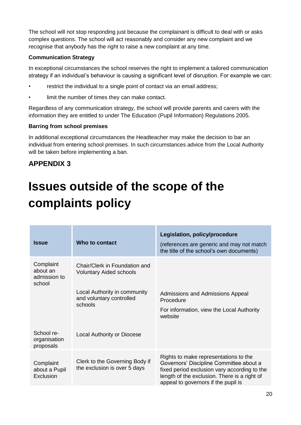The school will not stop responding just because the complainant is difficult to deal with or asks complex questions. The school will act reasonably and consider any new complaint and we recognise that anybody has the right to raise a new complaint at any time.

#### **Communication Strategy**

In exceptional circumstances the school reserves the right to implement a tailored communication strategy if an individual's behaviour is causing a significant level of disruption. For example we can:

- restrict the individual to a single point of contact via an email address;
- limit the number of times they can make contact.

Regardless of any communication strategy, the school will provide parents and carers with the information they are entitled to under The Education (Pupil Information) Regulations 2005.

#### **Barring from school premises**

In additional exceptional circumstances the Headteacher may make the decision to bar an individual from entering school premises. In such circumstances advice from the Local Authority will be taken before implementing a ban.

#### **APPENDIX 3**

### **Issues outside of the scope of the complaints policy**

| <b>Issue</b>                                    | Who to contact                                                  | Legislation, policy/procedure<br>(references are generic and may not match<br>the title of the school's own documents)                                                                                                  |
|-------------------------------------------------|-----------------------------------------------------------------|-------------------------------------------------------------------------------------------------------------------------------------------------------------------------------------------------------------------------|
| Complaint<br>about an<br>admission to<br>school | Chair/Clerk in Foundation and<br><b>Voluntary Aided schools</b> |                                                                                                                                                                                                                         |
|                                                 | Local Authority in community<br>and voluntary controlled        | Admissions and Admissions Appeal<br>Procedure                                                                                                                                                                           |
|                                                 | schools                                                         | For information, view the Local Authority<br>website                                                                                                                                                                    |
| School re-<br>organisation<br>proposals         | <b>Local Authority or Diocese</b>                               |                                                                                                                                                                                                                         |
| Complaint<br>about a Pupil<br>Exclusion         | Clerk to the Governing Body if<br>the exclusion is over 5 days  | Rights to make representations to the<br>Governors' Discipline Committee about a<br>fixed period exclusion vary according to the<br>length of the exclusion. There is a right of<br>appeal to governors if the pupil is |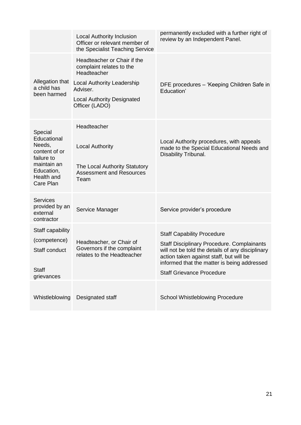|                                                                                                                         | <b>Local Authority Inclusion</b><br>Officer or relevant member of<br>the Specialist Teaching Service                                                                           | permanently excluded with a further right of<br>review by an Independent Panel.                                                                                                                                                                                          |
|-------------------------------------------------------------------------------------------------------------------------|--------------------------------------------------------------------------------------------------------------------------------------------------------------------------------|--------------------------------------------------------------------------------------------------------------------------------------------------------------------------------------------------------------------------------------------------------------------------|
| Allegation that<br>a child has<br>been harmed                                                                           | Headteacher or Chair if the<br>complaint relates to the<br>Headteacher<br><b>Local Authority Leadership</b><br>Adviser.<br><b>Local Authority Designated</b><br>Officer (LADO) | DFE procedures - 'Keeping Children Safe in<br>Education'                                                                                                                                                                                                                 |
| Special<br>Educational<br>Needs,<br>content of or<br>failure to<br>maintain an<br>Education,<br>Health and<br>Care Plan | Headteacher<br><b>Local Authority</b><br>The Local Authority Statutory<br><b>Assessment and Resources</b><br>Team                                                              | Local Authority procedures, with appeals<br>made to the Special Educational Needs and<br>Disability Tribunal.                                                                                                                                                            |
| <b>Services</b><br>provided by an<br>external<br>contractor                                                             | Service Manager                                                                                                                                                                | Service provider's procedure                                                                                                                                                                                                                                             |
| Staff capability<br>(competence)<br>Staff conduct<br><b>Staff</b><br>grievances                                         | Headteacher, or Chair of<br>Governors if the complaint<br>relates to the Headteacher                                                                                           | <b>Staff Capability Procedure</b><br><b>Staff Disciplinary Procedure. Complainants</b><br>will not be told the details of any disciplinary<br>action taken against staff, but will be<br>informed that the matter is being addressed<br><b>Staff Grievance Procedure</b> |
| Whistleblowing                                                                                                          | Designated staff                                                                                                                                                               | <b>School Whistleblowing Procedure</b>                                                                                                                                                                                                                                   |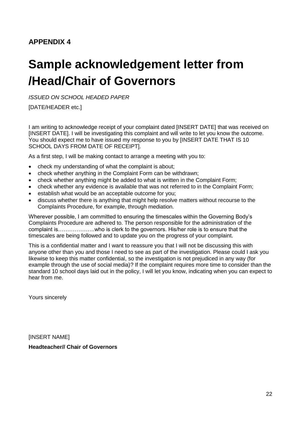#### **APPENDIX 4**

### **Sample acknowledgement letter from /Head/Chair of Governors**

*ISSUED ON SCHOOL HEADED PAPER*

[DATE/HEADER etc.]

I am writing to acknowledge receipt of your complaint dated [INSERT DATE] that was received on [INSERT DATE]. I will be investigating this complaint and will write to let you know the outcome. You should expect me to have issued my response to you by [INSERT DATE THAT IS 10 SCHOOL DAYS FROM DATE OF RECEIPT].

As a first step, I will be making contact to arrange a meeting with you to:

- check my understanding of what the complaint is about;
- check whether anything in the Complaint Form can be withdrawn;
- check whether anything might be added to what is written in the Complaint Form;
- check whether any evidence is available that was not referred to in the Complaint Form;
- establish what would be an acceptable outcome for you;
- discuss whether there is anything that might help resolve matters without recourse to the Complaints Procedure, for example, through mediation.

Wherever possible, I am committed to ensuring the timescales within the Governing Body's Complaints Procedure are adhered to. The person responsible for the administration of the complaint is………………..who is clerk to the governors. His/her role is to ensure that the timescales are being followed and to update you on the progress of your complaint.

This is a confidential matter and I want to reassure you that I will not be discussing this with anyone other than you and those I need to see as part of the investigation. Please could I ask you likewise to keep this matter confidential, so the investigation is not prejudiced in any way (for example through the use of social media)? If the complaint requires more time to consider than the standard 10 school days laid out in the policy, I will let you know, indicating when you can expect to hear from me.

Yours sincerely

[INSERT NAME]

**Headteacher// Chair of Governors**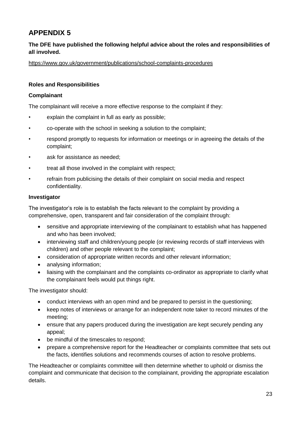#### **APPENDIX 5**

#### **The DFE have published the following helpful advice about the roles and responsibilities of all involved.**

<https://www.gov.uk/government/publications/school-complaints-procedures>

#### **Roles and Responsibilities**

#### **Complainant**

The complainant will receive a more effective response to the complaint if they:

- explain the complaint in full as early as possible;
- co-operate with the school in seeking a solution to the complaint;
- respond promptly to requests for information or meetings or in agreeing the details of the complaint;
- ask for assistance as needed;
- treat all those involved in the complaint with respect;
- refrain from publicising the details of their complaint on social media and respect confidentiality.

#### **Investigator**

The investigator's role is to establish the facts relevant to the complaint by providing a comprehensive, open, transparent and fair consideration of the complaint through:

- sensitive and appropriate interviewing of the complainant to establish what has happened and who has been involved;
- interviewing staff and children/young people (or reviewing records of staff interviews with children) and other people relevant to the complaint;
- consideration of appropriate written records and other relevant information;
- analysing information;
- liaising with the complainant and the complaints co-ordinator as appropriate to clarify what the complainant feels would put things right.

The investigator should:

- conduct interviews with an open mind and be prepared to persist in the questioning:
- keep notes of interviews or arrange for an independent note taker to record minutes of the meeting;
- ensure that any papers produced during the investigation are kept securely pending any appeal;
- be mindful of the timescales to respond;
- prepare a comprehensive report for the Headteacher or complaints committee that sets out the facts, identifies solutions and recommends courses of action to resolve problems.

The Headteacher or complaints committee will then determine whether to uphold or dismiss the complaint and communicate that decision to the complainant, providing the appropriate escalation details.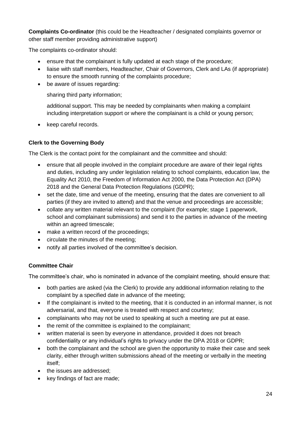**Complaints Co-ordinator** (this could be the Headteacher / designated complaints governor or other staff member providing administrative support)

The complaints co-ordinator should:

- ensure that the complainant is fully updated at each stage of the procedure;
- liaise with staff members, Headteacher, Chair of Governors, Clerk and LAs (if appropriate) to ensure the smooth running of the complaints procedure;
- be aware of issues regarding:

sharing third party information;

additional support. This may be needed by complainants when making a complaint including interpretation support or where the complainant is a child or young person;

• keep careful records.

#### **Clerk to the Governing Body**

The Clerk is the contact point for the complainant and the committee and should:

- ensure that all people involved in the complaint procedure are aware of their legal rights and duties, including any under legislation relating to school complaints, education law, the Equality Act 2010, the Freedom of Information Act 2000, the Data Protection Act (DPA) 2018 and the General Data Protection Regulations (GDPR);
- set the date, time and venue of the meeting, ensuring that the dates are convenient to all parties (if they are invited to attend) and that the venue and proceedings are accessible;
- collate any written material relevant to the complaint (for example; stage 1 paperwork, school and complainant submissions) and send it to the parties in advance of the meeting within an agreed timescale;
- make a written record of the proceedings;
- circulate the minutes of the meeting;
- notify all parties involved of the committee's decision.

#### **Committee Chair**

The committee's chair, who is nominated in advance of the complaint meeting, should ensure that:

- both parties are asked (via the Clerk) to provide any additional information relating to the complaint by a specified date in advance of the meeting;
- If the complainant is invited to the meeting, that it is conducted in an informal manner, is not adversarial, and that, everyone is treated with respect and courtesy;
- complainants who may not be used to speaking at such a meeting are put at ease.
- the remit of the committee is explained to the complainant;
- written material is seen by everyone in attendance, provided it does not breach confidentiality or any individual's rights to privacy under the DPA 2018 or GDPR;
- both the complainant and the school are given the opportunity to make their case and seek clarity, either through written submissions ahead of the meeting or verbally in the meeting itself;
- the issues are addressed;
- key findings of fact are made;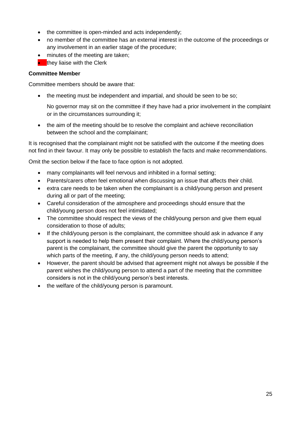- the committee is open-minded and acts independently;
- no member of the committee has an external interest in the outcome of the proceedings or any involvement in an earlier stage of the procedure;
- minutes of the meeting are taken:
- $\bullet$  they liaise with the Clerk

#### **Committee Member**

Committee members should be aware that:

• the meeting must be independent and impartial, and should be seen to be so;

No governor may sit on the committee if they have had a prior involvement in the complaint or in the circumstances surrounding it;

• the aim of the meeting should be to resolve the complaint and achieve reconciliation between the school and the complainant;

It is recognised that the complainant might not be satisfied with the outcome if the meeting does not find in their favour. It may only be possible to establish the facts and make recommendations.

Omit the section below if the face to face option is not adopted.

- many complainants will feel nervous and inhibited in a formal setting;
- Parents/carers often feel emotional when discussing an issue that affects their child.
- extra care needs to be taken when the complainant is a child/young person and present during all or part of the meeting;
- Careful consideration of the atmosphere and proceedings should ensure that the child/young person does not feel intimidated;
- The committee should respect the views of the child/young person and give them equal consideration to those of adults;
- If the child/young person is the complainant, the committee should ask in advance if any support is needed to help them present their complaint. Where the child/young person's parent is the complainant, the committee should give the parent the opportunity to say which parts of the meeting, if any, the child/young person needs to attend;
- However, the parent should be advised that agreement might not always be possible if the parent wishes the child/young person to attend a part of the meeting that the committee considers is not in the child/young person's best interests.
- the welfare of the child/young person is paramount.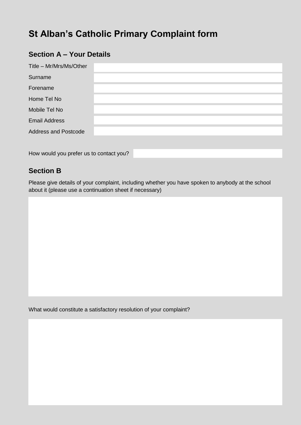### **St Alban's Catholic Primary Complaint form**

#### **Section A – Your Details**

| Title - Mr/Mrs/Ms/Other     |  |
|-----------------------------|--|
| Surname                     |  |
| Forename                    |  |
| Home Tel No                 |  |
| Mobile Tel No               |  |
| <b>Email Address</b>        |  |
| <b>Address and Postcode</b> |  |
|                             |  |

How would you prefer us to contact you?

#### **Section B**

Please give details of your complaint, including whether you have spoken to anybody at the school about it (please use a continuation sheet if necessary)

What would constitute a satisfactory resolution of your complaint?